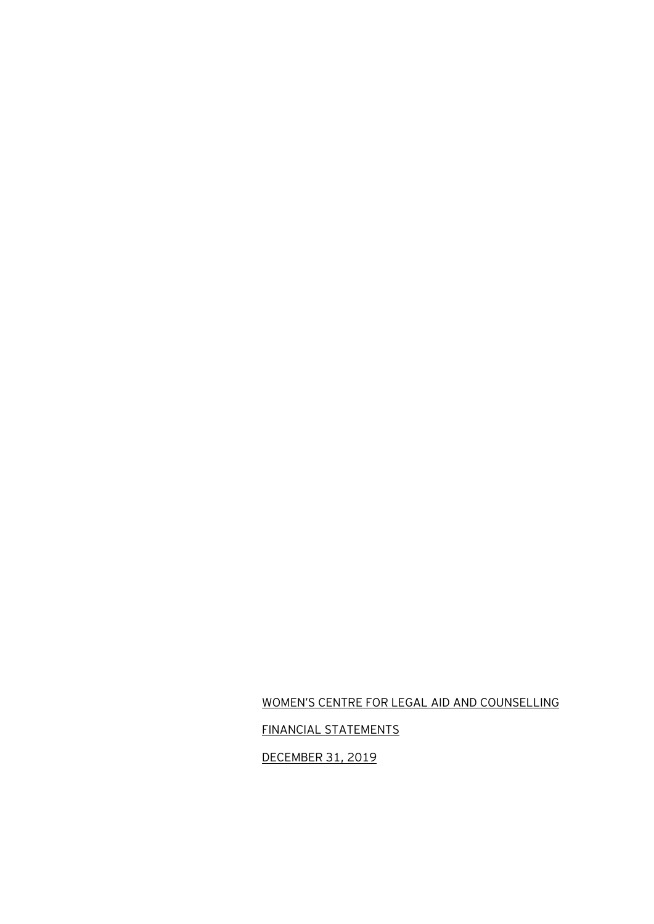WOMEN'S CENTRE FOR LEGAL AID AND COUNSELLING FINANCIAL STATEMENTS

DECEMBER 31, 2019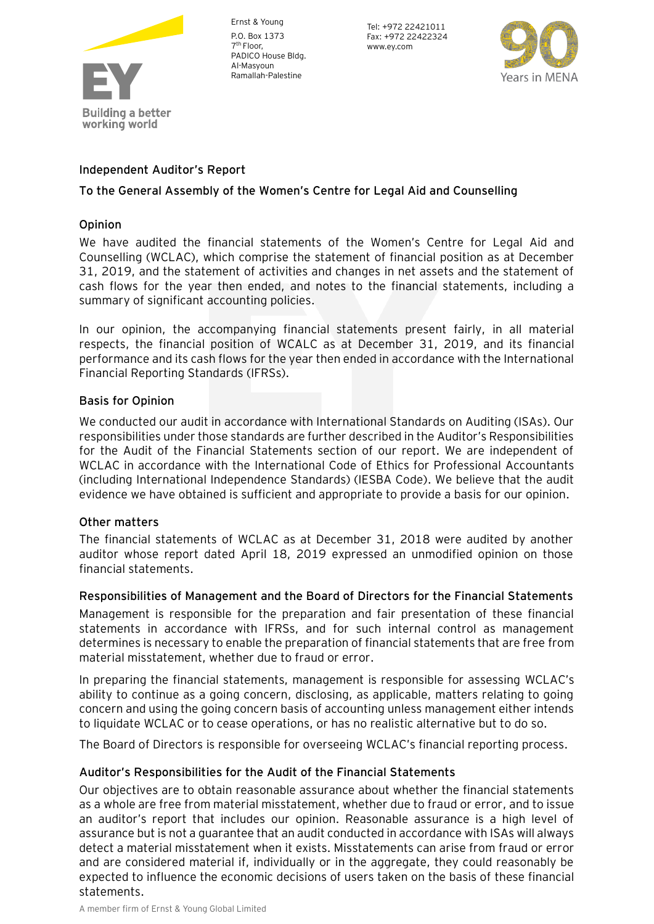

Ernst & Young P.O. Box 1373 7 th Floor, PADICO House Bldg. Al-Masyoun Ramallah-Palestine



# **Independent Auditor's Report**

## **To the General Assembly of the Women's Centre for Legal Aid and Counselling**

#### **Opinion**

We have audited the financial statements of the Women's Centre for Legal Aid and Counselling (WCLAC), which comprise the statement of financial position as at December 31, 2019, and the statement of activities and changes in net assets and the statement of cash flows for the year then ended, and notes to the financial statements, including a summary of significant accounting policies.

In our opinion, the accompanying financial statements present fairly, in all material respects, the financial position of WCALC as at December 31, 2019, and its financial performance and its cash flows for the year then ended in accordance with the International Financial Reporting Standards (IFRSs).

#### **Basis for Opinion**

We conducted our audit in accordance with International Standards on Auditing (ISAs). Our responsibilities under those standards are further described in the Auditor's Responsibilities for the Audit of the Financial Statements section of our report. We are independent of WCLAC in accordance with the International Code of Ethics for Professional Accountants (including International Independence Standards) (IESBA Code). We believe that the audit evidence we have obtained is sufficient and appropriate to provide a basis for our opinion.

#### **Other matters**

The financial statements of WCLAC as at December 31, 2018 were audited by another auditor whose report dated April 18, 2019 expressed an unmodified opinion on those financial statements.

#### **Responsibilities of Management and the Board of Directors for the Financial Statements**

Management is responsible for the preparation and fair presentation of these financial statements in accordance with IFRSs, and for such internal control as management determines is necessary to enable the preparation of financial statements that are free from material misstatement, whether due to fraud or error.

In preparing the financial statements, management is responsible for assessing WCLAC's ability to continue as a going concern, disclosing, as applicable, matters relating to going concern and using the going concern basis of accounting unless management either intends to liquidate WCLAC or to cease operations, or has no realistic alternative but to do so.

The Board of Directors is responsible for overseeing WCLAC's financial reporting process.

## **Auditor's Responsibilities for the Audit of the Financial Statements**

Our objectives are to obtain reasonable assurance about whether the financial statements as a whole are free from material misstatement, whether due to fraud or error, and to issue an auditor's report that includes our opinion. Reasonable assurance is a high level of assurance but is not a guarantee that an audit conducted in accordance with ISAs will always detect a material misstatement when it exists. Misstatements can arise from fraud or error and are considered material if, individually or in the aggregate, they could reasonably be expected to influence the economic decisions of users taken on the basis of these financial statements.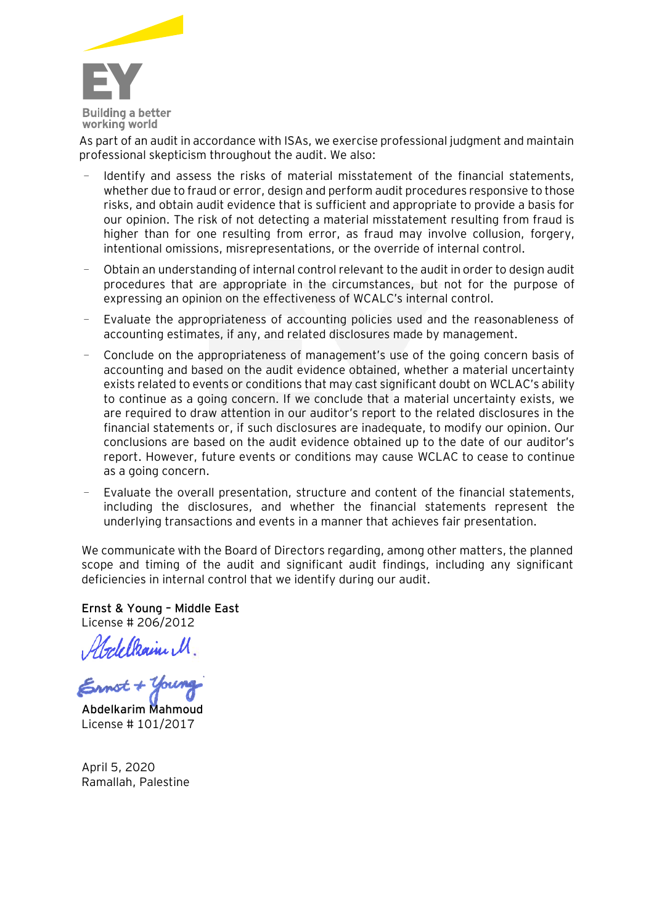

As part of an audit in accordance with ISAs, we exercise professional judgment and maintain professional skepticism throughout the audit. We also:

- Identify and assess the risks of material misstatement of the financial statements, whether due to fraud or error, design and perform audit procedures responsive to those risks, and obtain audit evidence that is sufficient and appropriate to provide a basis for our opinion. The risk of not detecting a material misstatement resulting from fraud is higher than for one resulting from error, as fraud may involve collusion, forgery, intentional omissions, misrepresentations, or the override of internal control.
- Obtain an understanding of internal control relevant to the audit in order to design audit procedures that are appropriate in the circumstances, but not for the purpose of expressing an opinion on the effectiveness of WCALC's internal control.
- Evaluate the appropriateness of accounting policies used and the reasonableness of accounting estimates, if any, and related disclosures made by management.
- Conclude on the appropriateness of management's use of the going concern basis of accounting and based on the audit evidence obtained, whether a material uncertainty exists related to events or conditions that may cast significant doubt on WCLAC's ability to continue as a going concern. If we conclude that a material uncertainty exists, we are required to draw attention in our auditor's report to the related disclosures in the financial statements or, if such disclosures are inadequate, to modify our opinion. Our conclusions are based on the audit evidence obtained up to the date of our auditor's report. However, future events or conditions may cause WCLAC to cease to continue as a going concern.
- Evaluate the overall presentation, structure and content of the financial statements, including the disclosures, and whether the financial statements represent the underlying transactions and events in a manner that achieves fair presentation.

We communicate with the Board of Directors regarding, among other matters, the planned scope and timing of the audit and significant audit findings, including any significant deficiencies in internal control that we identify during our audit.

**Ernst & Young – Middle East**  License # 206/2012

Abdelkain M.<br>Ernst + Young

**Abdelkarim Mahmoud**  License # 101/2017

April 5, 2020 Ramallah, Palestine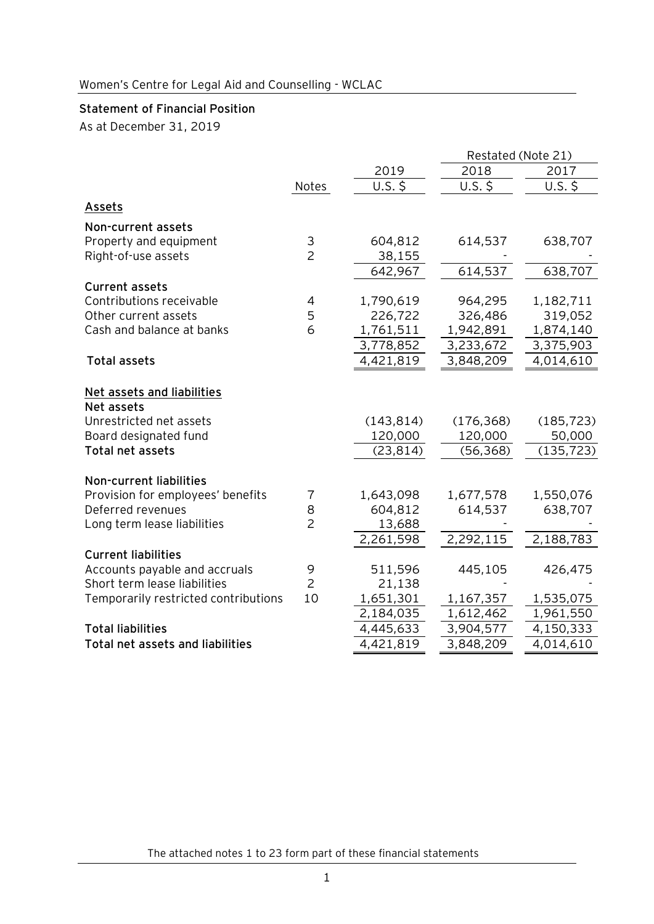# Women's Centre for Legal Aid and Counselling - WCLAC

#### **Statement of Financial Position**

As at December 31, 2019

|                                      |                |            | Restated (Note 21) |            |
|--------------------------------------|----------------|------------|--------------------|------------|
|                                      |                | 2019       | 2018               | 2017       |
|                                      | <b>Notes</b>   | $U.S.$ \$  | $U.S.$ \$          | $U.S.$ \$  |
| Assets                               |                |            |                    |            |
| Non-current assets                   |                |            |                    |            |
| Property and equipment               | $\mathsf 3$    | 604,812    | 614,537            | 638,707    |
| Right-of-use assets                  | $\overline{2}$ | 38,155     |                    |            |
|                                      |                | 642,967    | 614,537            | 638,707    |
| <b>Current assets</b>                |                |            |                    |            |
| Contributions receivable             | 4              | 1,790,619  | 964,295            | 1,182,711  |
| Other current assets                 | 5              | 226,722    | 326,486            | 319,052    |
| Cash and balance at banks            | 6              | 1,761,511  | 1,942,891          | 1,874,140  |
|                                      |                | 3,778,852  | 3,233,672          | 3,375,903  |
| <b>Total assets</b>                  |                | 4,421,819  | 3,848,209          | 4,014,610  |
|                                      |                |            |                    |            |
| Net assets and liabilities           |                |            |                    |            |
| Net assets                           |                |            |                    |            |
| Unrestricted net assets              |                | (143, 814) | (176, 368)         | (185, 723) |
| Board designated fund                |                | 120,000    | 120,000            | 50,000     |
| <b>Total net assets</b>              |                | (23, 814)  | (56, 368)          | (135, 723) |
| Non-current liabilities              |                |            |                    |            |
| Provision for employees' benefits    | 7              | 1,643,098  | 1,677,578          | 1,550,076  |
| Deferred revenues                    | 8              | 604,812    | 614,537            | 638,707    |
| Long term lease liabilities          | $\overline{2}$ | 13,688     |                    |            |
|                                      |                | 2,261,598  | 2,292,115          | 2,188,783  |
| <b>Current liabilities</b>           |                |            |                    |            |
| Accounts payable and accruals        | 9              | 511,596    | 445,105            | 426,475    |
| Short term lease liabilities         | $\overline{2}$ | 21,138     |                    |            |
| Temporarily restricted contributions | 10             | 1,651,301  | 1,167,357          | 1,535,075  |
|                                      |                | 2,184,035  | 1,612,462          | 1,961,550  |
| <b>Total liabilities</b>             |                | 4,445,633  | 3,904,577          | 4,150,333  |
| Total net assets and liabilities     |                | 4,421,819  | 3,848,209          | 4,014,610  |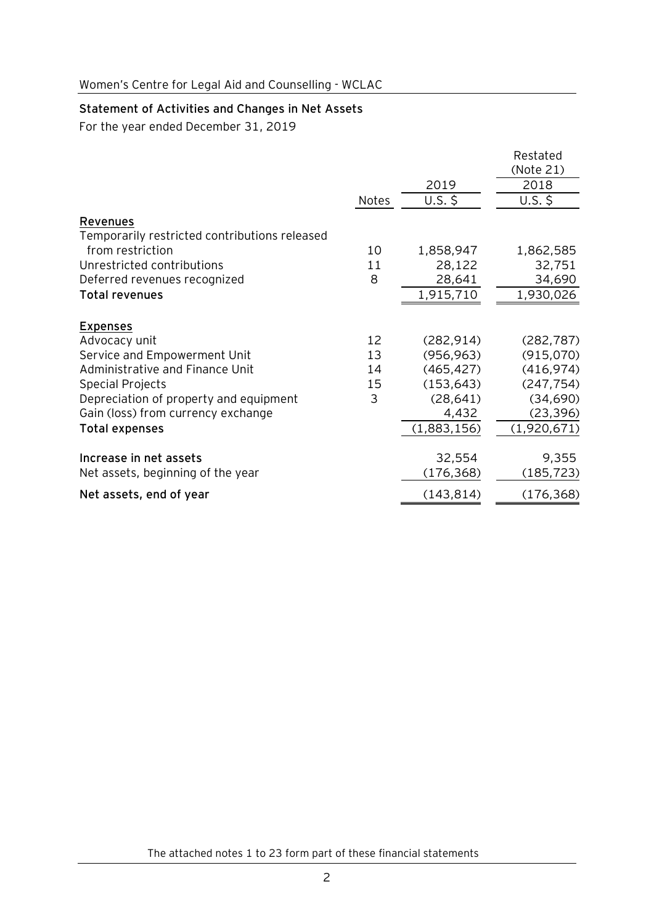# **Statement of Activities and Changes in Net Assets**

For the year ended December 31, 2019

|                                               |              |             | Restated    |
|-----------------------------------------------|--------------|-------------|-------------|
|                                               |              |             | (Note 21)   |
|                                               |              | 2019        | 2018        |
|                                               | <b>Notes</b> | $U.S.$ \$   | $U.S.$ \$   |
| Revenues                                      |              |             |             |
| Temporarily restricted contributions released |              |             |             |
| from restriction                              | 10           | 1,858,947   | 1,862,585   |
| Unrestricted contributions                    | 11           | 28,122      | 32,751      |
| Deferred revenues recognized                  | 8            | 28,641      | 34,690      |
| <b>Total revenues</b>                         |              | 1,915,710   | 1,930,026   |
| <b>Expenses</b>                               |              |             |             |
| Advocacy unit                                 | 12           | (282, 914)  | (282, 787)  |
| Service and Empowerment Unit                  | 13           | (956, 963)  | (915,070)   |
| Administrative and Finance Unit               | 14           | (465, 427)  | (416, 974)  |
| <b>Special Projects</b>                       | 15           | (153, 643)  | (247, 754)  |
| Depreciation of property and equipment        | 3            | (28, 641)   | (34,690)    |
| Gain (loss) from currency exchange            |              | 4,432       | (23, 396)   |
| <b>Total expenses</b>                         |              | (1,883,156) | (1,920,671) |
| Increase in net assets                        |              | 32,554      | 9,355       |
| Net assets, beginning of the year             |              | (176, 368)  | (185, 723)  |
| Net assets, end of year                       |              | (143, 814)  | (176, 368)  |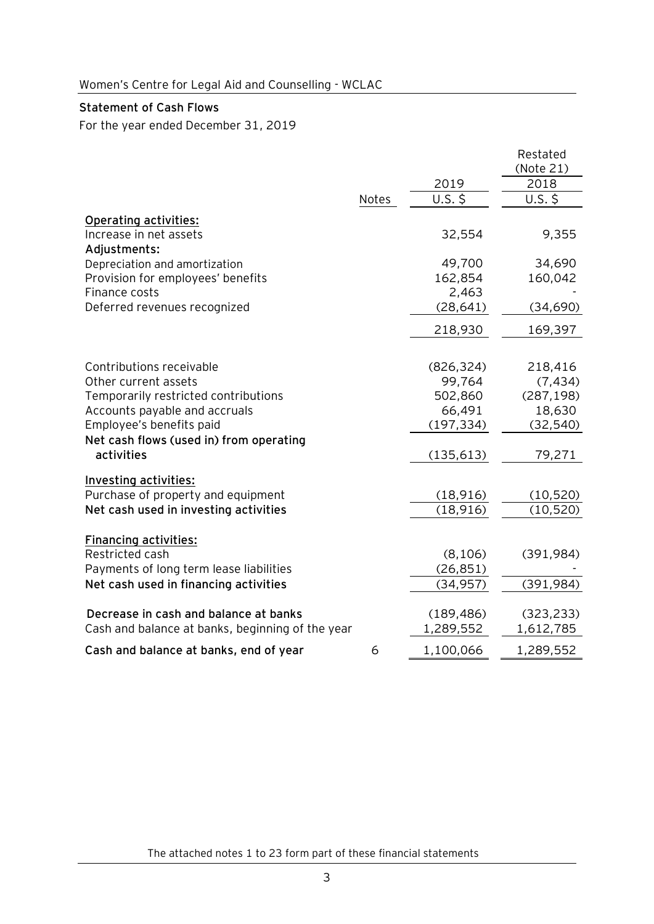#### **Statement of Cash Flows**

For the year ended December 31, 2019

|                                                                                           |              |                         | Restated<br>(Note 21)   |
|-------------------------------------------------------------------------------------------|--------------|-------------------------|-------------------------|
|                                                                                           |              | 2019                    | 2018                    |
|                                                                                           | <b>Notes</b> | $U.S.$ \$               | $U.S.$ \$               |
| Operating activities:                                                                     |              |                         |                         |
| Increase in net assets<br>Adjustments:                                                    |              | 32,554                  | 9,355                   |
| Depreciation and amortization                                                             |              | 49,700                  | 34,690                  |
| Provision for employees' benefits                                                         |              | 162,854                 | 160,042                 |
| Finance costs                                                                             |              | 2,463                   |                         |
| Deferred revenues recognized                                                              |              | (28, 641)               | (34,690)                |
|                                                                                           |              | 218,930                 | 169,397                 |
|                                                                                           |              |                         |                         |
| Contributions receivable                                                                  |              | (826, 324)              | 218,416                 |
| Other current assets                                                                      |              | 99,764                  | (7, 434)                |
| Temporarily restricted contributions                                                      |              | 502,860                 | (287, 198)              |
| Accounts payable and accruals                                                             |              | 66,491                  | 18,630                  |
| Employee's benefits paid                                                                  |              | (197, 334)              | (32, 540)               |
| Net cash flows (used in) from operating                                                   |              |                         |                         |
| activities                                                                                |              | (135, 613)              | 79,271                  |
| <b>Investing activities:</b>                                                              |              |                         |                         |
| Purchase of property and equipment                                                        |              | (18, 916)               | (10, 520)               |
| Net cash used in investing activities                                                     |              | (18, 916)               | (10, 520)               |
| <b>Financing activities:</b>                                                              |              |                         |                         |
| Restricted cash                                                                           |              | (8, 106)                | (391, 984)              |
| Payments of long term lease liabilities                                                   |              | (26, 851)               |                         |
| Net cash used in financing activities                                                     |              | (34, 957)               | (391, 984)              |
|                                                                                           |              |                         |                         |
| Decrease in cash and balance at banks<br>Cash and balance at banks, beginning of the year |              | (189, 486)<br>1,289,552 | (323, 233)<br>1,612,785 |
|                                                                                           |              |                         |                         |
| Cash and balance at banks, end of year                                                    | 6            | 1,100,066               | 1,289,552               |
|                                                                                           |              |                         |                         |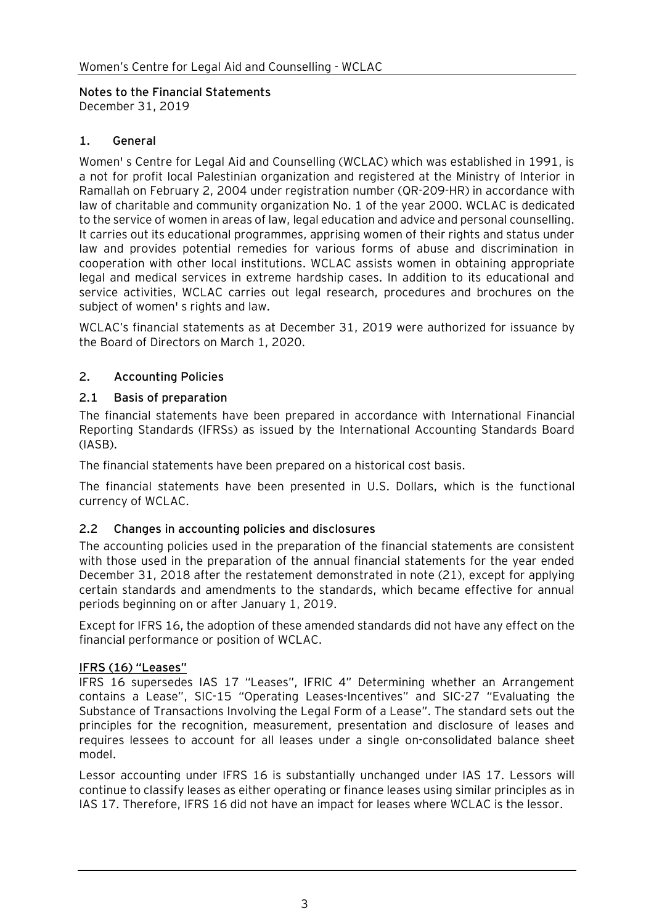# **Notes to the Financial Statements**

December 31, 2019

## **1. General**

Women' s Centre for Legal Aid and Counselling (WCLAC) which was established in 1991, is a not for profit local Palestinian organization and registered at the Ministry of Interior in Ramallah on February 2, 2004 under registration number (QR-209-HR) in accordance with law of charitable and community organization No. 1 of the year 2000. WCLAC is dedicated to the service of women in areas of law, legal education and advice and personal counselling. It carries out its educational programmes, apprising women of their rights and status under law and provides potential remedies for various forms of abuse and discrimination in cooperation with other local institutions. WCLAC assists women in obtaining appropriate legal and medical services in extreme hardship cases. In addition to its educational and service activities, WCLAC carries out legal research, procedures and brochures on the subject of women' s rights and law.

WCLAC's financial statements as at December 31, 2019 were authorized for issuance by the Board of Directors on March 1, 2020.

## **2. Accounting Policies**

## **2.1 Basis of preparation**

The financial statements have been prepared in accordance with International Financial Reporting Standards (IFRSs) as issued by the International Accounting Standards Board (IASB).

The financial statements have been prepared on a historical cost basis.

The financial statements have been presented in U.S. Dollars, which is the functional currency of WCLAC.

## **2.2 Changes in accounting policies and disclosures**

The accounting policies used in the preparation of the financial statements are consistent with those used in the preparation of the annual financial statements for the year ended December 31, 2018 after the restatement demonstrated in note (21), except for applying certain standards and amendments to the standards, which became effective for annual periods beginning on or after January 1, 2019.

Except for IFRS 16, the adoption of these amended standards did not have any effect on the financial performance or position of WCLAC.

## **IFRS (16) "Leases"**

IFRS 16 supersedes IAS 17 "Leases", IFRIC 4" Determining whether an Arrangement contains a Lease", SIC-15 "Operating Leases-Incentives" and SIC-27 "Evaluating the Substance of Transactions Involving the Legal Form of a Lease". The standard sets out the principles for the recognition, measurement, presentation and disclosure of leases and requires lessees to account for all leases under a single on-consolidated balance sheet model.

Lessor accounting under IFRS 16 is substantially unchanged under IAS 17. Lessors will continue to classify leases as either operating or finance leases using similar principles as in IAS 17. Therefore, IFRS 16 did not have an impact for leases where WCLAC is the lessor.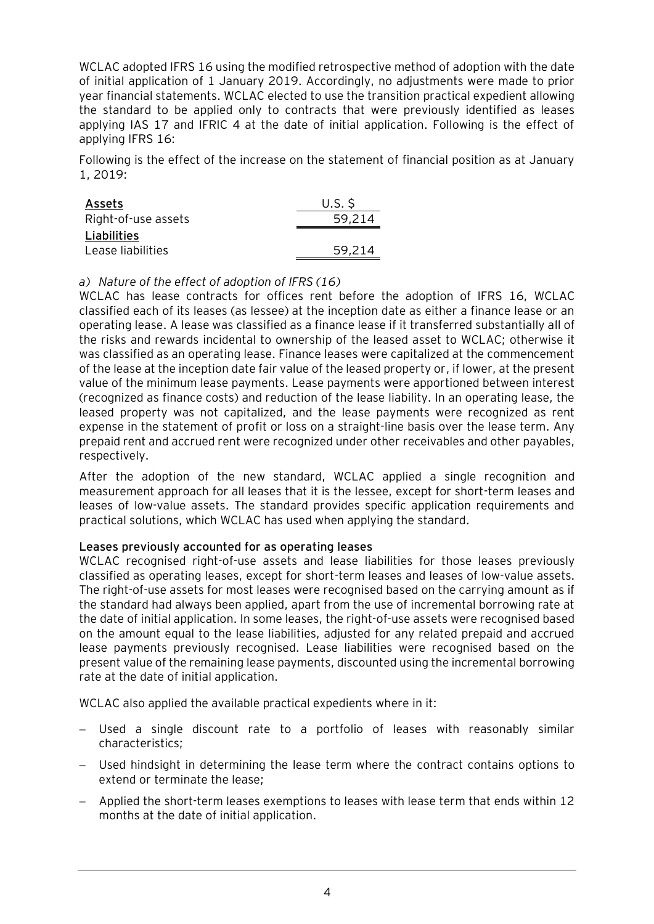WCLAC adopted IFRS 16 using the modified retrospective method of adoption with the date of initial application of 1 January 2019. Accordingly, no adjustments were made to prior year financial statements. WCLAC elected to use the transition practical expedient allowing the standard to be applied only to contracts that were previously identified as leases applying IAS 17 and IFRIC 4 at the date of initial application. Following is the effect of applying IFRS 16:

Following is the effect of the increase on the statement of financial position as at January 1, 2019:

| Assets              | $U.S.$ $\sf S$ |
|---------------------|----------------|
| Right-of-use assets | 59,214         |
| Liabilities         |                |
| Lease liabilities   | 59,214         |

## *a) Nature of the effect of adoption of IFRS (16)*

WCLAC has lease contracts for offices rent before the adoption of IFRS 16, WCLAC classified each of its leases (as lessee) at the inception date as either a finance lease or an operating lease. A lease was classified as a finance lease if it transferred substantially all of the risks and rewards incidental to ownership of the leased asset to WCLAC; otherwise it was classified as an operating lease. Finance leases were capitalized at the commencement of the lease at the inception date fair value of the leased property or, if lower, at the present value of the minimum lease payments. Lease payments were apportioned between interest (recognized as finance costs) and reduction of the lease liability. In an operating lease, the leased property was not capitalized, and the lease payments were recognized as rent expense in the statement of profit or loss on a straight-line basis over the lease term. Any prepaid rent and accrued rent were recognized under other receivables and other payables, respectively.

After the adoption of the new standard, WCLAC applied a single recognition and measurement approach for all leases that it is the lessee, except for short-term leases and leases of low-value assets. The standard provides specific application requirements and practical solutions, which WCLAC has used when applying the standard.

## **Leases previously accounted for as operating leases**

WCLAC recognised right-of-use assets and lease liabilities for those leases previously classified as operating leases, except for short-term leases and leases of low-value assets. The right-of-use assets for most leases were recognised based on the carrying amount as if the standard had always been applied, apart from the use of incremental borrowing rate at the date of initial application. In some leases, the right-of-use assets were recognised based on the amount equal to the lease liabilities, adjusted for any related prepaid and accrued lease payments previously recognised. Lease liabilities were recognised based on the present value of the remaining lease payments, discounted using the incremental borrowing rate at the date of initial application.

WCLAC also applied the available practical expedients where in it:

- − Used a single discount rate to a portfolio of leases with reasonably similar characteristics;
- − Used hindsight in determining the lease term where the contract contains options to extend or terminate the lease;
- − Applied the short-term leases exemptions to leases with lease term that ends within 12 months at the date of initial application.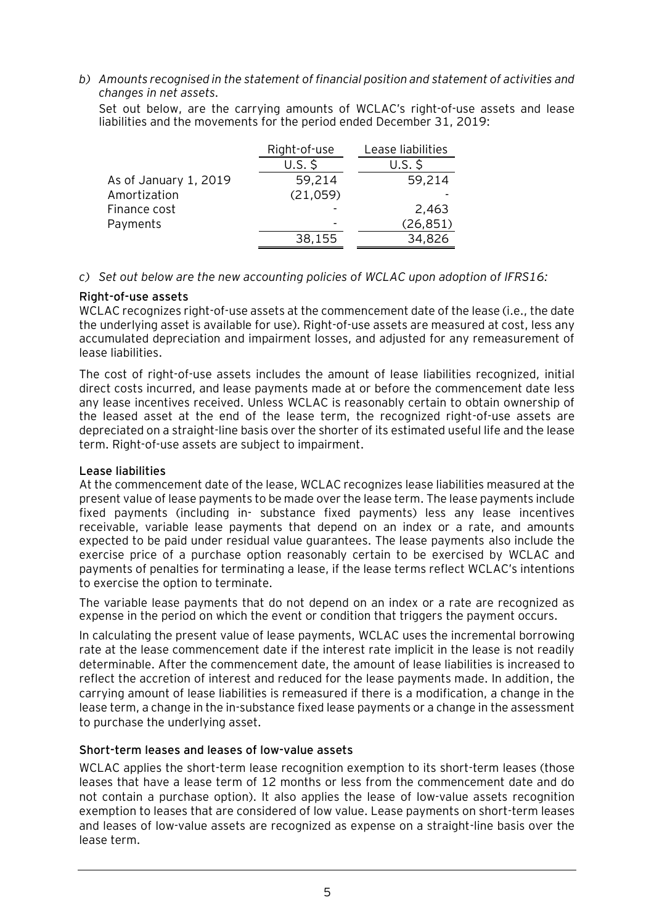*b) Amounts recognised in the statement of financial position and statement of activities and changes in net assets.* 

Set out below, are the carrying amounts of WCLAC's right-of-use assets and lease liabilities and the movements for the period ended December 31, 2019:

|                       | Right-of-use | Lease liabilities |
|-----------------------|--------------|-------------------|
|                       | $U.S.$ \$    | $U.S.$ \$         |
| As of January 1, 2019 | 59,214       | 59,214            |
| Amortization          | (21,059)     |                   |
| Finance cost          |              | 2,463             |
| Payments              |              | (26, 851)         |
|                       | 38,155       | 34,826            |

#### *c) Set out below are the new accounting policies of WCLAC upon adoption of IFRS16:*

#### **Right-of-use assets**

WCLAC recognizes right-of-use assets at the commencement date of the lease (i.e., the date the underlying asset is available for use). Right-of-use assets are measured at cost, less any accumulated depreciation and impairment losses, and adjusted for any remeasurement of lease liabilities.

The cost of right-of-use assets includes the amount of lease liabilities recognized, initial direct costs incurred, and lease payments made at or before the commencement date less any lease incentives received. Unless WCLAC is reasonably certain to obtain ownership of the leased asset at the end of the lease term, the recognized right-of-use assets are depreciated on a straight-line basis over the shorter of its estimated useful life and the lease term. Right-of-use assets are subject to impairment.

## **Lease liabilities**

At the commencement date of the lease, WCLAC recognizes lease liabilities measured at the present value of lease payments to be made over the lease term. The lease payments include fixed payments (including in- substance fixed payments) less any lease incentives receivable, variable lease payments that depend on an index or a rate, and amounts expected to be paid under residual value guarantees. The lease payments also include the exercise price of a purchase option reasonably certain to be exercised by WCLAC and payments of penalties for terminating a lease, if the lease terms reflect WCLAC's intentions to exercise the option to terminate.

The variable lease payments that do not depend on an index or a rate are recognized as expense in the period on which the event or condition that triggers the payment occurs.

In calculating the present value of lease payments, WCLAC uses the incremental borrowing rate at the lease commencement date if the interest rate implicit in the lease is not readily determinable. After the commencement date, the amount of lease liabilities is increased to reflect the accretion of interest and reduced for the lease payments made. In addition, the carrying amount of lease liabilities is remeasured if there is a modification, a change in the lease term, a change in the in-substance fixed lease payments or a change in the assessment to purchase the underlying asset.

## **Short-term leases and leases of low-value assets**

WCLAC applies the short-term lease recognition exemption to its short-term leases (those leases that have a lease term of 12 months or less from the commencement date and do not contain a purchase option). It also applies the lease of low-value assets recognition exemption to leases that are considered of low value. Lease payments on short-term leases and leases of low-value assets are recognized as expense on a straight-line basis over the lease term.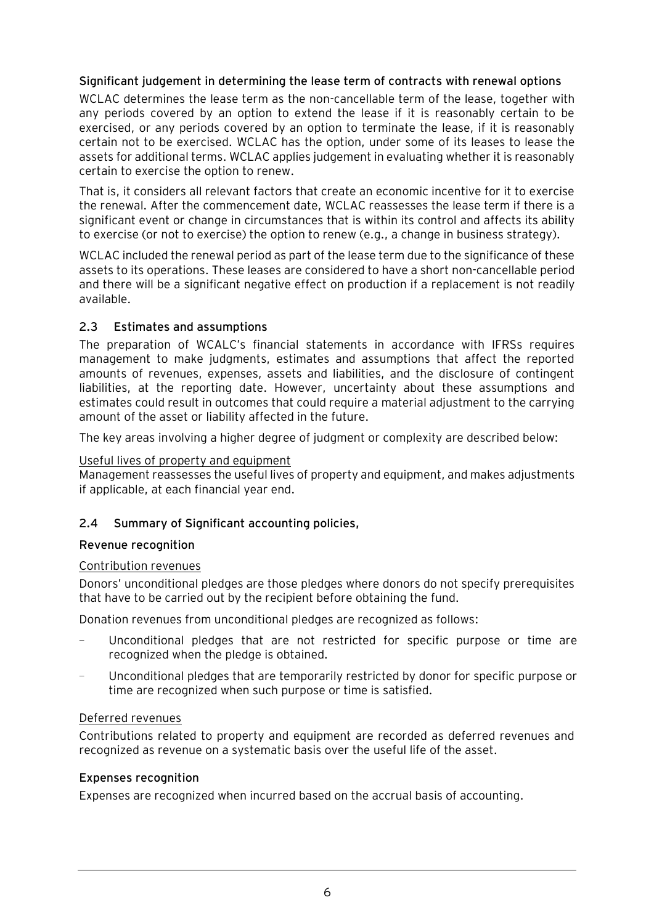## **Significant judgement in determining the lease term of contracts with renewal options**

WCLAC determines the lease term as the non-cancellable term of the lease, together with any periods covered by an option to extend the lease if it is reasonably certain to be exercised, or any periods covered by an option to terminate the lease, if it is reasonably certain not to be exercised. WCLAC has the option, under some of its leases to lease the assets for additional terms. WCLAC applies judgement in evaluating whether it is reasonably certain to exercise the option to renew.

That is, it considers all relevant factors that create an economic incentive for it to exercise the renewal. After the commencement date, WCLAC reassesses the lease term if there is a significant event or change in circumstances that is within its control and affects its ability to exercise (or not to exercise) the option to renew (e.g., a change in business strategy).

WCLAC included the renewal period as part of the lease term due to the significance of these assets to its operations. These leases are considered to have a short non-cancellable period and there will be a significant negative effect on production if a replacement is not readily available.

# **2.3 Estimates and assumptions**

The preparation of WCALC's financial statements in accordance with IFRSs requires management to make judgments, estimates and assumptions that affect the reported amounts of revenues, expenses, assets and liabilities, and the disclosure of contingent liabilities, at the reporting date. However, uncertainty about these assumptions and estimates could result in outcomes that could require a material adjustment to the carrying amount of the asset or liability affected in the future.

The key areas involving a higher degree of judgment or complexity are described below:

## Useful lives of property and equipment

Management reassesses the useful lives of property and equipment, and makes adjustments if applicable, at each financial year end.

## **2.4 Summary of Significant accounting policies,**

## **Revenue recognition**

## Contribution revenues

Donors' unconditional pledges are those pledges where donors do not specify prerequisites that have to be carried out by the recipient before obtaining the fund.

Donation revenues from unconditional pledges are recognized as follows:

- Unconditional pledges that are not restricted for specific purpose or time are recognized when the pledge is obtained.
- Unconditional pledges that are temporarily restricted by donor for specific purpose or time are recognized when such purpose or time is satisfied.

## Deferred revenues

Contributions related to property and equipment are recorded as deferred revenues and recognized as revenue on a systematic basis over the useful life of the asset.

#### **Expenses recognition**

Expenses are recognized when incurred based on the accrual basis of accounting.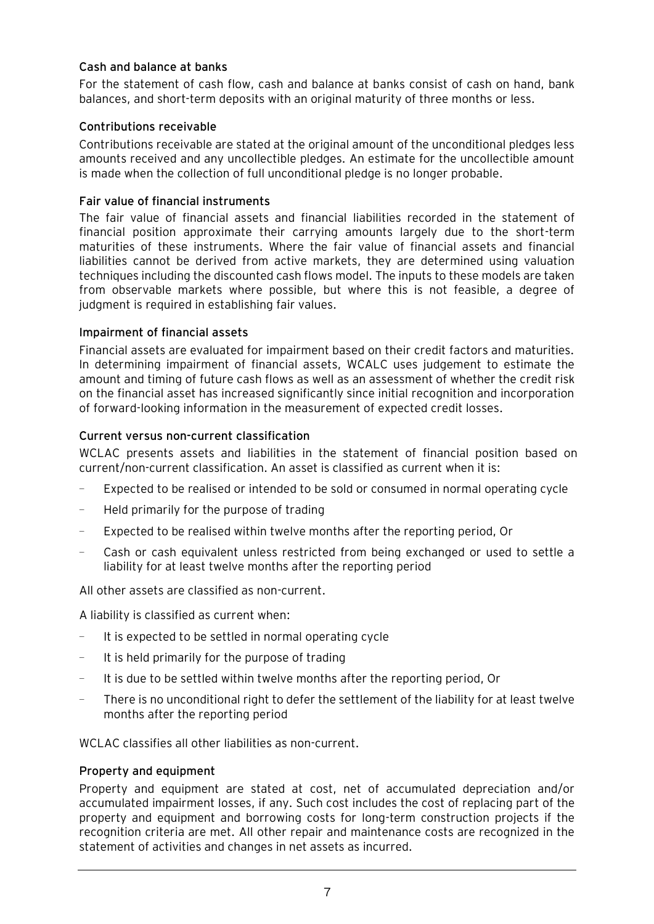## **Cash and balance at banks**

For the statement of cash flow, cash and balance at banks consist of cash on hand, bank balances, and short-term deposits with an original maturity of three months or less.

## **Contributions receivable**

Contributions receivable are stated at the original amount of the unconditional pledges less amounts received and any uncollectible pledges. An estimate for the uncollectible amount is made when the collection of full unconditional pledge is no longer probable.

## **Fair value of financial instruments**

The fair value of financial assets and financial liabilities recorded in the statement of financial position approximate their carrying amounts largely due to the short-term maturities of these instruments. Where the fair value of financial assets and financial liabilities cannot be derived from active markets, they are determined using valuation techniques including the discounted cash flows model. The inputs to these models are taken from observable markets where possible, but where this is not feasible, a degree of judgment is required in establishing fair values.

#### **Impairment of financial assets**

Financial assets are evaluated for impairment based on their credit factors and maturities. In determining impairment of financial assets, WCALC uses judgement to estimate the amount and timing of future cash flows as well as an assessment of whether the credit risk on the financial asset has increased significantly since initial recognition and incorporation of forward-looking information in the measurement of expected credit losses.

## **Current versus non-current classification**

WCLAC presents assets and liabilities in the statement of financial position based on current/non-current classification. An asset is classified as current when it is:

- Expected to be realised or intended to be sold or consumed in normal operating cycle
- Held primarily for the purpose of trading
- Expected to be realised within twelve months after the reporting period, Or
- Cash or cash equivalent unless restricted from being exchanged or used to settle a liability for at least twelve months after the reporting period

All other assets are classified as non-current.

A liability is classified as current when:

- It is expected to be settled in normal operating cycle
- It is held primarily for the purpose of trading
- It is due to be settled within twelve months after the reporting period, Or
- There is no unconditional right to defer the settlement of the liability for at least twelve months after the reporting period

WCLAC classifies all other liabilities as non-current.

#### **Property and equipment**

Property and equipment are stated at cost, net of accumulated depreciation and/or accumulated impairment losses, if any. Such cost includes the cost of replacing part of the property and equipment and borrowing costs for long-term construction projects if the recognition criteria are met. All other repair and maintenance costs are recognized in the statement of activities and changes in net assets as incurred.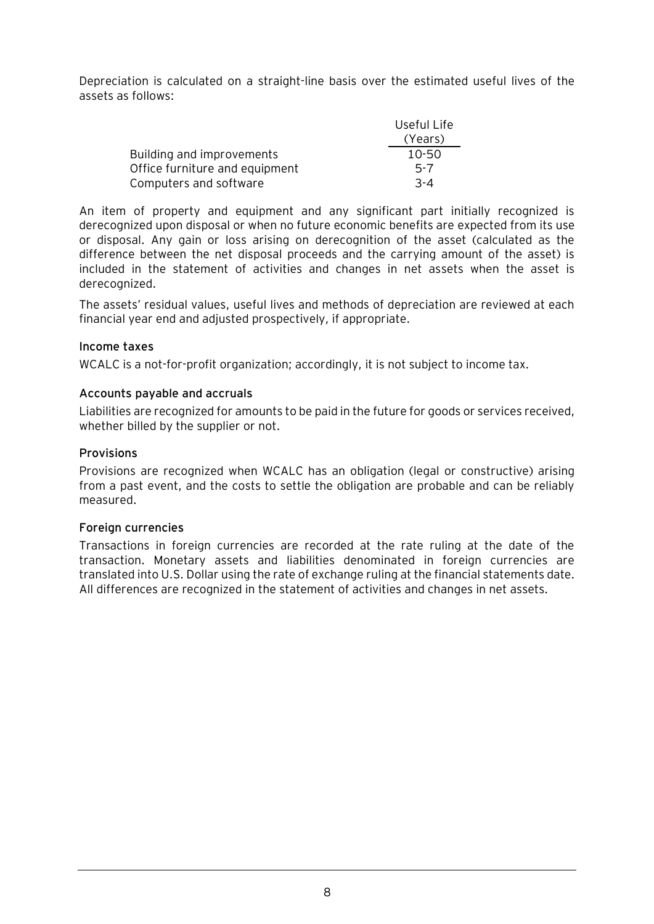Depreciation is calculated on a straight-line basis over the estimated useful lives of the assets as follows:

|                                | Useful Life |
|--------------------------------|-------------|
|                                | (Years)     |
| Building and improvements      | 10-50       |
| Office furniture and equipment | $5 - 7$     |
| Computers and software         | ้ 3-4       |

An item of property and equipment and any significant part initially recognized is derecognized upon disposal or when no future economic benefits are expected from its use or disposal. Any gain or loss arising on derecognition of the asset (calculated as the difference between the net disposal proceeds and the carrying amount of the asset) is included in the statement of activities and changes in net assets when the asset is derecognized.

The assets' residual values, useful lives and methods of depreciation are reviewed at each financial year end and adjusted prospectively, if appropriate.

#### **Income taxes**

WCALC is a not-for-profit organization; accordingly, it is not subject to income tax.

#### **Accounts payable and accruals**

Liabilities are recognized for amounts to be paid in the future for goods or services received, whether billed by the supplier or not.

#### **Provisions**

Provisions are recognized when WCALC has an obligation (legal or constructive) arising from a past event, and the costs to settle the obligation are probable and can be reliably measured.

#### **Foreign currencies**

Transactions in foreign currencies are recorded at the rate ruling at the date of the transaction. Monetary assets and liabilities denominated in foreign currencies are translated into U.S. Dollar using the rate of exchange ruling at the financial statements date. All differences are recognized in the statement of activities and changes in net assets.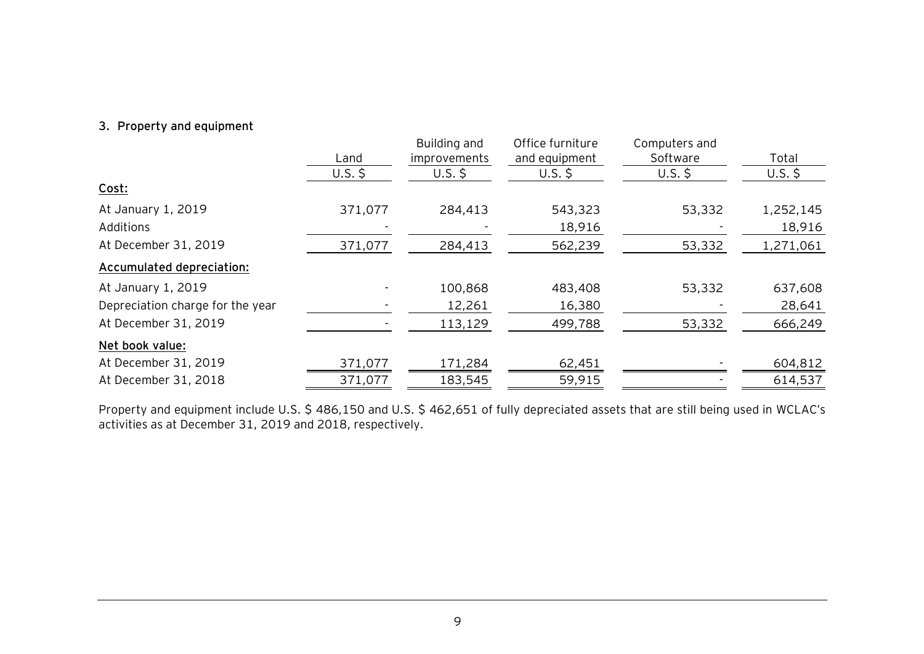#### **3. Property and equipment**

|                                  |           | Building and        | Office furniture | Computers and |           |
|----------------------------------|-----------|---------------------|------------------|---------------|-----------|
|                                  | Land      | <i>improvements</i> | and equipment    | Software      | Total     |
|                                  | $U.S.$ \$ | $U.S.$ \$           | $U.S.$ \$        | $U.S.$ \$     | $U.S.$ \$ |
| Cost:                            |           |                     |                  |               |           |
| At January 1, 2019               | 371,077   | 284,413             | 543,323          | 53,332        | 1,252,145 |
| Additions                        |           |                     | 18,916           |               | 18,916    |
| At December 31, 2019             | 371,077   | 284,413             | 562,239          | 53,332        | 1,271,061 |
| Accumulated depreciation:        |           |                     |                  |               |           |
| At January 1, 2019               |           | 100,868             | 483,408          | 53,332        | 637,608   |
| Depreciation charge for the year |           | 12,261              | 16,380           |               | 28,641    |
| At December 31, 2019             |           | 113,129             | 499,788          | 53,332        | 666,249   |
| Net book value:                  |           |                     |                  |               |           |
| At December 31, 2019             | 371,077   | 171,284             | 62,451           |               | 604,812   |
| At December 31, 2018             | 371,077   | 183,545             | 59,915           |               | 614,537   |

Property and equipment include U.S. \$ 486,150 and U.S. \$ 462,651 of fully depreciated assets that are still being used in WCLAC's activities as at December 31, 2019 and 2018, respectively.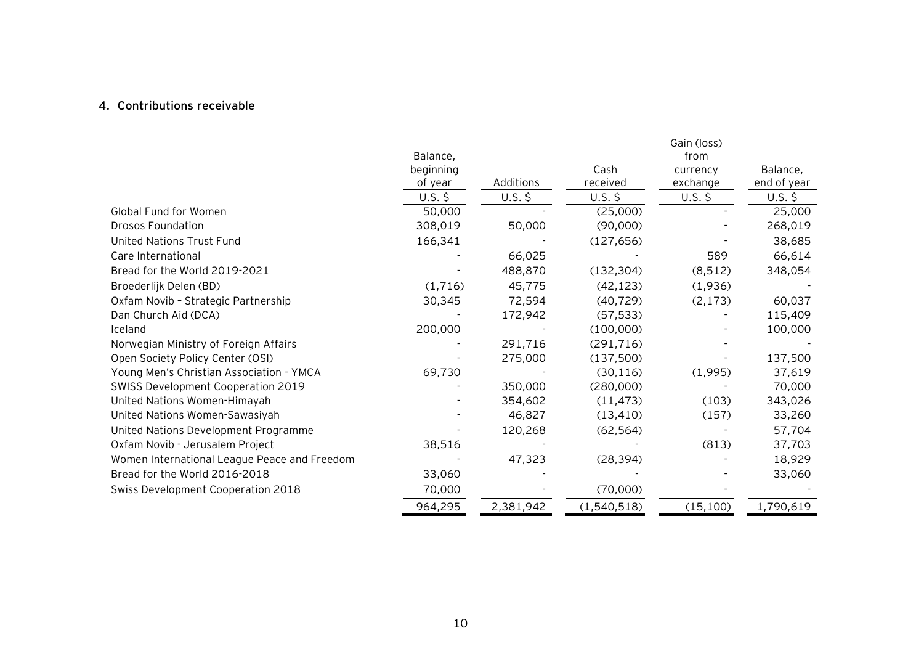# **4. Contributions receivable**

|                                              | Balance,<br>beginning<br>of year<br>$U.S.$ \$ | Additions<br>$U.S.$ \$ | Cash<br>received<br>$U.S.$ \$ | Gain (loss)<br>from<br>currency<br>exchange<br>$U.S.$ \$ | Balance,<br>end of year<br>$U.S.$ \$ |
|----------------------------------------------|-----------------------------------------------|------------------------|-------------------------------|----------------------------------------------------------|--------------------------------------|
| Global Fund for Women                        | 50,000                                        |                        | (25,000)                      |                                                          | 25,000                               |
| <b>Drosos Foundation</b>                     | 308,019                                       | 50,000                 | (90,000)                      |                                                          | 268,019                              |
| United Nations Trust Fund                    | 166,341                                       |                        | (127, 656)                    |                                                          | 38,685                               |
| Care International                           |                                               | 66,025                 |                               | 589                                                      | 66,614                               |
| Bread for the World 2019-2021                |                                               | 488,870                | (132, 304)                    | (8, 512)                                                 | 348,054                              |
| Broederlijk Delen (BD)                       | (1,716)                                       | 45,775                 | (42, 123)                     | (1,936)                                                  |                                      |
| Oxfam Novib - Strategic Partnership          | 30,345                                        | 72,594                 | (40, 729)                     | (2, 173)                                                 | 60,037                               |
| Dan Church Aid (DCA)                         |                                               | 172,942                | (57, 533)                     |                                                          | 115,409                              |
| Iceland                                      | 200,000                                       |                        | (100,000)                     |                                                          | 100,000                              |
| Norwegian Ministry of Foreign Affairs        |                                               | 291,716                | (291, 716)                    |                                                          |                                      |
| Open Society Policy Center (OSI)             |                                               | 275,000                | (137,500)                     |                                                          | 137,500                              |
| Young Men's Christian Association - YMCA     | 69,730                                        |                        | (30, 116)                     | (1,995)                                                  | 37,619                               |
| SWISS Development Cooperation 2019           |                                               | 350,000                | (280,000)                     |                                                          | 70,000                               |
| United Nations Women-Himayah                 |                                               | 354,602                | (11, 473)                     | (103)                                                    | 343,026                              |
| United Nations Women-Sawasiyah               |                                               | 46,827                 | (13, 410)                     | (157)                                                    | 33,260                               |
| United Nations Development Programme         |                                               | 120,268                | (62, 564)                     |                                                          | 57,704                               |
| Oxfam Novib - Jerusalem Project              | 38,516                                        |                        |                               | (813)                                                    | 37,703                               |
| Women International League Peace and Freedom |                                               | 47,323                 | (28, 394)                     |                                                          | 18,929                               |
| Bread for the World 2016-2018                | 33,060                                        |                        |                               |                                                          | 33,060                               |
| Swiss Development Cooperation 2018           | 70,000                                        |                        | (70,000)                      |                                                          |                                      |
|                                              | 964,295                                       | 2,381,942              | (1,540,518)                   | (15, 100)                                                | 1,790,619                            |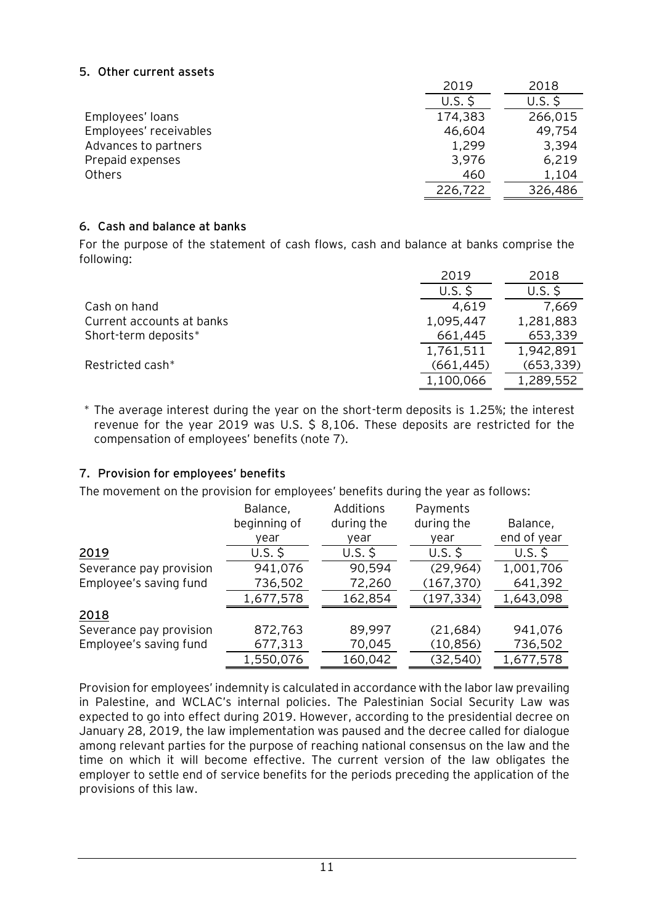# **5. Other current assets**

|                        | 2019         | 2018      |
|------------------------|--------------|-----------|
|                        | $U.S.$ $\sf$ | $U.S.$ \$ |
| Employees' loans       | 174,383      | 266,015   |
| Employees' receivables | 46,604       | 49,754    |
| Advances to partners   | 1,299        | 3,394     |
| Prepaid expenses       | 3,976        | 6,219     |
| <b>Others</b>          | 460          | 1,104     |
|                        | 226,722      | 326,486   |

## **6. Cash and balance at banks**

For the purpose of the statement of cash flows, cash and balance at banks comprise the following:

|                           | 2019       | 2018       |
|---------------------------|------------|------------|
|                           | $U.S.$ \$  | $U.S.$ \$  |
| Cash on hand              | 4,619      | 7,669      |
| Current accounts at banks | 1,095,447  | 1,281,883  |
| Short-term deposits*      | 661,445    | 653,339    |
|                           | 1,761,511  | 1,942,891  |
| Restricted cash*          | (661, 445) | (653, 339) |
|                           | 1,100,066  | 1,289,552  |

\* The average interest during the year on the short-term deposits is 1.25%; the interest revenue for the year 2019 was U.S. \$ 8,106. These deposits are restricted for the compensation of employees' benefits (note 7).

# **7. Provision for employees' benefits**

The movement on the provision for employees' benefits during the year as follows:

|                         | Balance,     | Additions  | Payments   |             |
|-------------------------|--------------|------------|------------|-------------|
|                         | beginning of | during the | during the | Balance,    |
|                         | vear         | vear       | vear       | end of year |
| 2019                    | $U.S.$ \$    | $U.S.$ \$  | $U.S.$ \$  | $U.S.$ \$   |
| Severance pay provision | 941,076      | 90,594     | (29, 964)  | 1,001,706   |
| Employee's saving fund  | 736,502      | 72,260     | (167, 370) | 641,392     |
|                         | 1,677,578    | 162,854    | (197, 334) | 1,643,098   |
| 2018                    |              |            |            |             |
| Severance pay provision | 872,763      | 89,997     | (21, 684)  | 941,076     |
| Employee's saving fund  | 677,313      | 70,045     | (10, 856)  | 736,502     |
|                         | 1,550,076    | 160,042    | (32, 540)  | 1,677,578   |

Provision for employees' indemnity is calculated in accordance with the labor law prevailing in Palestine, and WCLAC's internal policies. The Palestinian Social Security Law was expected to go into effect during 2019. However, according to the presidential decree on January 28, 2019, the law implementation was paused and the decree called for dialogue among relevant parties for the purpose of reaching national consensus on the law and the time on which it will become effective. The current version of the law obligates the employer to settle end of service benefits for the periods preceding the application of the provisions of this law.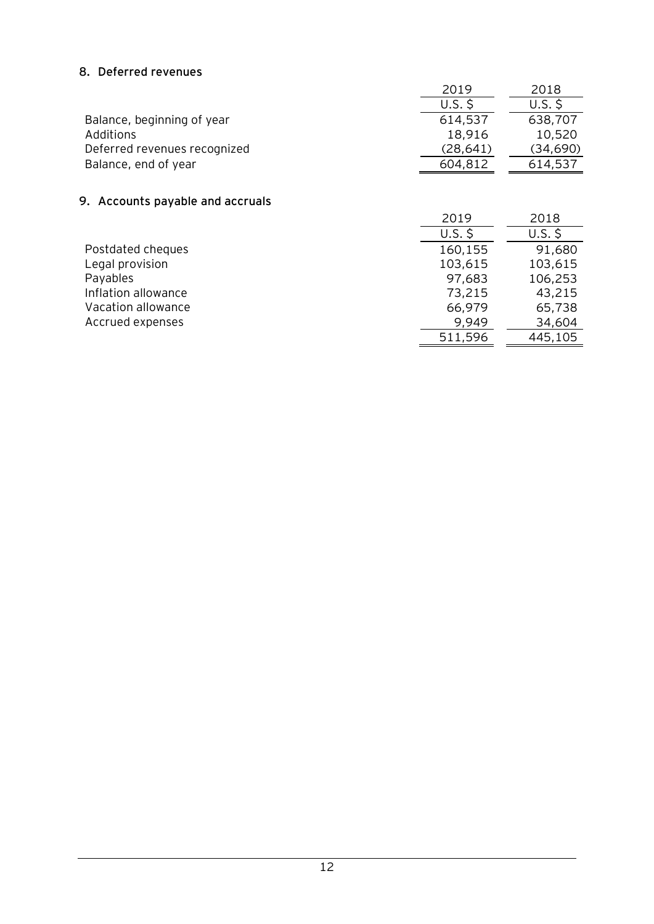# **8. Deferred revenues**

|                                  | 2019      | 2018      |
|----------------------------------|-----------|-----------|
|                                  | U.S. S    | $U.S.$ \$ |
| Balance, beginning of year       | 614,537   | 638,707   |
| Additions                        | 18,916    | 10,520    |
| Deferred revenues recognized     | (28, 641) | (34,690)  |
| Balance, end of year             | 604,812   | 614,537   |
|                                  |           |           |
| 9. Accounts payable and accruals |           |           |
|                                  | 2019      | 2018      |
|                                  | $U.S.$ \$ | $U.S.$ \$ |
| Postdated cheques                | 160,155   | 91,680    |
| Legal provision                  | 103,615   | 103,615   |
| Payables                         | 97,683    | 106,253   |
| Inflation allowance              | 73,215    | 43,215    |
| Vacation allowance               | 66,979    | 65,738    |
| Accrued expenses                 | 9,949     | 34,604    |
|                                  | 511,596   | 445,105   |

 $\frac{1}{511,596}$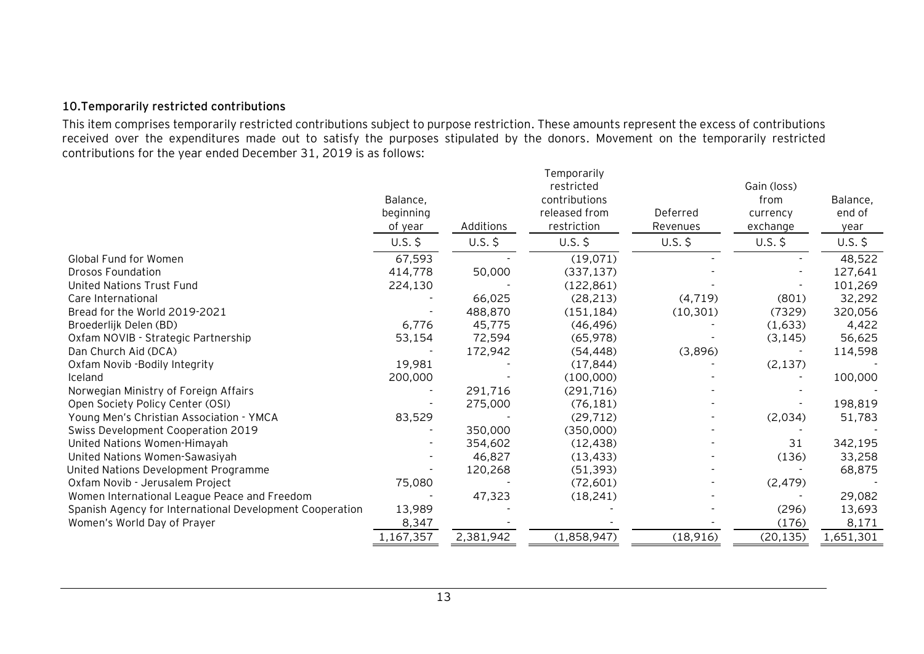#### **10.Temporarily restricted contributions**

This item comprises temporarily restricted contributions subject to purpose restriction. These amounts represent the excess of contributions received over the expenditures made out to satisfy the purposes stipulated by the donors. Movement on the temporarily restricted contributions for the year ended December 31, 2019 is as follows:

|                                                          |           |           | Temporarily   |           |             |           |
|----------------------------------------------------------|-----------|-----------|---------------|-----------|-------------|-----------|
|                                                          |           |           | restricted    |           | Gain (loss) |           |
|                                                          | Balance,  |           | contributions |           | from        | Balance,  |
|                                                          | beginning |           | released from | Deferred  | currency    | end of    |
|                                                          | of year   | Additions | restriction   | Revenues  | exchange    | year      |
|                                                          | $U.S.$ \$ | $U.S.$ \$ | $U.S.$ \$     | $U.S.$ \$ | $U.S.$ \$   | $U.S.$ \$ |
| Global Fund for Women                                    | 67,593    |           | (19,071)      |           |             | 48,522    |
| <b>Drosos Foundation</b>                                 | 414,778   | 50,000    | (337, 137)    |           |             | 127,641   |
| United Nations Trust Fund                                | 224,130   |           | (122, 861)    |           |             | 101,269   |
| Care International                                       |           | 66,025    | (28, 213)     | (4, 719)  | (801)       | 32,292    |
| Bread for the World 2019-2021                            |           | 488,870   | (151, 184)    | (10, 301) | (7329)      | 320,056   |
| Broederlijk Delen (BD)                                   | 6,776     | 45,775    | (46, 496)     |           | (1,633)     | 4,422     |
| Oxfam NOVIB - Strategic Partnership                      | 53,154    | 72,594    | (65, 978)     |           | (3, 145)    | 56,625    |
| Dan Church Aid (DCA)                                     |           | 172,942   | (54, 448)     | (3,896)   |             | 114,598   |
| Oxfam Novib - Bodily Integrity                           | 19,981    |           | (17, 844)     |           | (2, 137)    |           |
| Iceland                                                  | 200,000   |           | (100,000)     |           |             | 100,000   |
| Norwegian Ministry of Foreign Affairs                    |           | 291,716   | (291, 716)    |           |             |           |
| Open Society Policy Center (OSI)                         |           | 275,000   | (76, 181)     |           |             | 198,819   |
| Young Men's Christian Association - YMCA                 | 83,529    |           | (29, 712)     |           | (2,034)     | 51,783    |
| Swiss Development Cooperation 2019                       |           | 350,000   | (350,000)     |           |             |           |
| United Nations Women-Himayah                             |           | 354,602   | (12, 438)     |           | 31          | 342,195   |
| United Nations Women-Sawasiyah                           |           | 46,827    | (13, 433)     |           | (136)       | 33,258    |
| United Nations Development Programme                     |           | 120,268   | (51, 393)     |           |             | 68,875    |
| Oxfam Novib - Jerusalem Project                          | 75,080    |           | (72,601)      |           | (2, 479)    |           |
| Women International League Peace and Freedom             |           | 47,323    | (18, 241)     |           |             | 29,082    |
| Spanish Agency for International Development Cooperation | 13,989    |           |               |           | (296)       | 13,693    |
| Women's World Day of Prayer                              | 8,347     |           |               |           | (176)       | 8,171     |
|                                                          | 1,167,357 | 2,381,942 | (1,858,947)   | (18, 916) | (20, 135)   | 1,651,301 |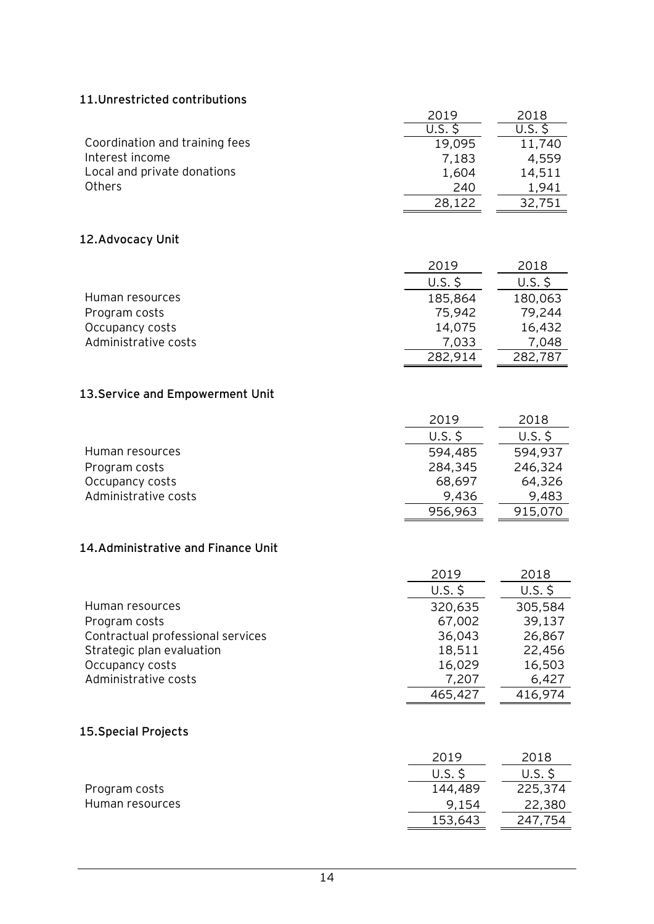# **11.Unrestricted contributions**

|                                     | 2019      | 2018                 |
|-------------------------------------|-----------|----------------------|
|                                     | $U.S.$ \$ | $\overline{U.S.}$ \$ |
| Coordination and training fees      | 19,095    | 11,740               |
| Interest income                     | 7,183     | 4,559                |
| Local and private donations         | 1,604     | 14,511               |
| Others                              | 240       | 1,941                |
|                                     | 28,122    | 32,751               |
| 12. Advocacy Unit                   |           |                      |
|                                     | 2019      | 2018                 |
|                                     | $U.S.$ \$ | $U.S.$ \$            |
| Human resources                     | 185,864   | 180,063              |
| Program costs                       | 75,942    | 79,244               |
| Occupancy costs                     | 14,075    | 16,432               |
| Administrative costs                | 7,033     | 7,048                |
|                                     | 282,914   | 282,787              |
|                                     |           |                      |
| 13. Service and Empowerment Unit    |           |                      |
|                                     | 2019      | 2018                 |
|                                     | $U.S.$ \$ | $U.S.$ \$            |
| Human resources                     | 594,485   | 594,937              |
| Program costs                       | 284,345   | 246,324              |
| Occupancy costs                     | 68,697    | 64,326               |
| Administrative costs                | 9,436     | 9,483                |
|                                     | 956,963   | 915,070              |
| 14. Administrative and Finance Unit |           |                      |
|                                     | 2019      | 2018                 |
|                                     | $U.S.$ \$ | $U.S.$ \$            |
| Human resources                     | 320,635   | 305,584              |
| Program costs                       | 67,002    | 39,137               |
| Contractual professional services   | 36,043    | 26,867               |
| Strategic plan evaluation           | 18,511    | 22,456               |
| Occupancy costs                     | 16,029    | 16,503               |
| Administrative costs                | 7,207     | 6,427                |
|                                     | 465,427   | 416,974              |
| 15. Special Projects                |           |                      |
|                                     |           |                      |
|                                     | 2019      | 2018                 |
|                                     | $U.S.$ \$ | $U.S.$ \$            |
| Program costs                       | 144,489   | 225,374              |
| Human resources                     | 9,154     | 22,380               |
|                                     | 153,643   | 247,754              |
|                                     |           |                      |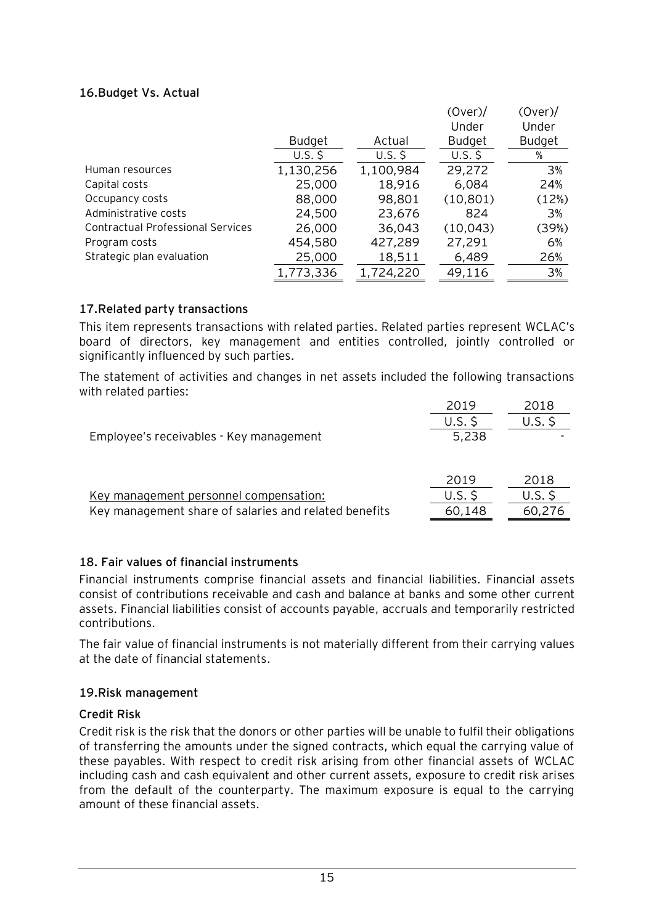# **16.Budget Vs. Actual**

|                                          |               |           | (Over)        | (Over)        |
|------------------------------------------|---------------|-----------|---------------|---------------|
|                                          |               |           | Under         | Under         |
|                                          | <b>Budget</b> | Actual    | <b>Budget</b> | <b>Budget</b> |
|                                          | $U.S.$ \$     | $U.S.$ \$ | $U.S.$ \$     | $\%$          |
| Human resources                          | 1,130,256     | 1,100,984 | 29,272        | 3%            |
| Capital costs                            | 25,000        | 18,916    | 6,084         | 24%           |
| Occupancy costs                          | 88,000        | 98,801    | (10, 801)     | (12%)         |
| Administrative costs                     | 24,500        | 23,676    | 824           | 3%            |
| <b>Contractual Professional Services</b> | 26,000        | 36,043    | (10, 043)     | (39%)         |
| Program costs                            | 454,580       | 427,289   | 27,291        | 6%            |
| Strategic plan evaluation                | 25,000        | 18,511    | 6,489         | 26%           |
|                                          | 1,773,336     | 1,724,220 | 49,116        | 3%            |

# **17.Related party transactions**

This item represents transactions with related parties. Related parties represent WCLAC's board of directors, key management and entities controlled, jointly controlled or significantly influenced by such parties.

The statement of activities and changes in net assets included the following transactions with related parties:

|                                                       | 2019      | 2018      |
|-------------------------------------------------------|-----------|-----------|
|                                                       | $U.S.$ \$ | U.S. \$   |
| Employee's receivables - Key management               | 5,238     |           |
|                                                       | 2019      | 2018      |
| Key management personnel compensation:                | $U.S.$ \$ | $U.S.$ \$ |
| Key management share of salaries and related benefits | 60,148    | 60,276    |

# **18. Fair values of financial instruments**

Financial instruments comprise financial assets and financial liabilities. Financial assets consist of contributions receivable and cash and balance at banks and some other current assets. Financial liabilities consist of accounts payable, accruals and temporarily restricted contributions.

The fair value of financial instruments is not materially different from their carrying values at the date of financial statements.

## **19.Risk management**

## **Credit Risk**

Credit risk is the risk that the donors or other parties will be unable to fulfil their obligations of transferring the amounts under the signed contracts, which equal the carrying value of these payables. With respect to credit risk arising from other financial assets of WCLAC including cash and cash equivalent and other current assets, exposure to credit risk arises from the default of the counterparty. The maximum exposure is equal to the carrying amount of these financial assets.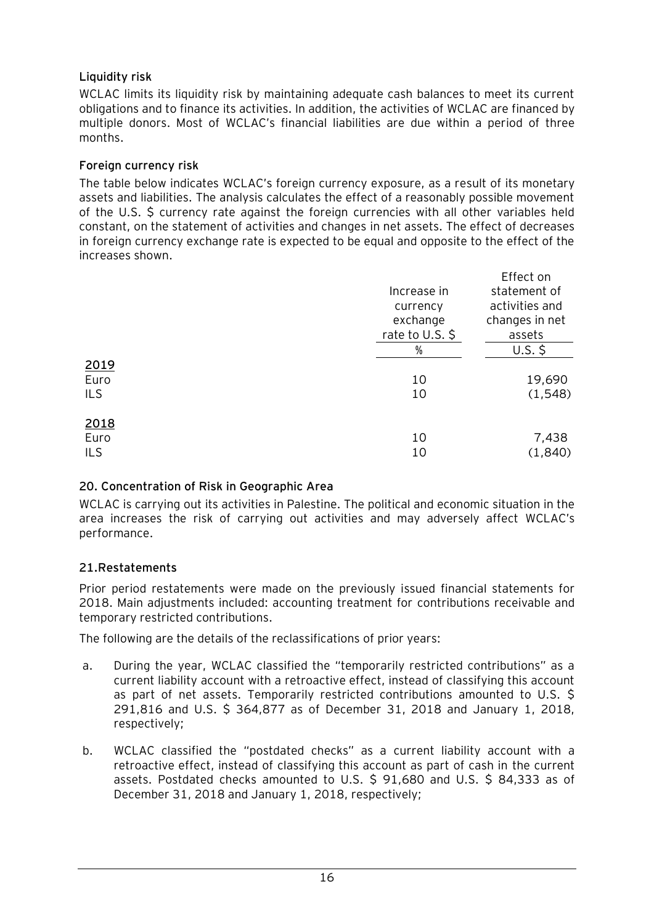# **Liquidity risk**

WCLAC limits its liquidity risk by maintaining adequate cash balances to meet its current obligations and to finance its activities. In addition, the activities of WCLAC are financed by multiple donors. Most of WCLAC's financial liabilities are due within a period of three months.

# **Foreign currency risk**

The table below indicates WCLAC's foreign currency exposure, as a result of its monetary assets and liabilities. The analysis calculates the effect of a reasonably possible movement of the U.S. \$ currency rate against the foreign currencies with all other variables held constant, on the statement of activities and changes in net assets. The effect of decreases in foreign currency exchange rate is expected to be equal and opposite to the effect of the increases shown.

|                 | Effect on      |
|-----------------|----------------|
| Increase in     | statement of   |
| currency        | activities and |
| exchange        | changes in net |
| rate to U.S. \$ | assets         |
| %               | $U.S.$ \$      |
|                 |                |
| 10              | 19,690         |
| 10              | (1,548)        |
|                 |                |
| 10              | 7,438          |
| 10              | (1,840)        |
|                 |                |

# **20. Concentration of Risk in Geographic Area**

WCLAC is carrying out its activities in Palestine. The political and economic situation in the area increases the risk of carrying out activities and may adversely affect WCLAC's performance.

# **21.Restatements**

Prior period restatements were made on the previously issued financial statements for 2018. Main adjustments included: accounting treatment for contributions receivable and temporary restricted contributions.

The following are the details of the reclassifications of prior years:

- a. During the year, WCLAC classified the "temporarily restricted contributions" as a current liability account with a retroactive effect, instead of classifying this account as part of net assets. Temporarily restricted contributions amounted to U.S. \$ 291,816 and U.S. \$ 364,877 as of December 31, 2018 and January 1, 2018, respectively;
- b. WCLAC classified the "postdated checks" as a current liability account with a retroactive effect, instead of classifying this account as part of cash in the current assets. Postdated checks amounted to U.S. \$ 91,680 and U.S. \$ 84,333 as of December 31, 2018 and January 1, 2018, respectively;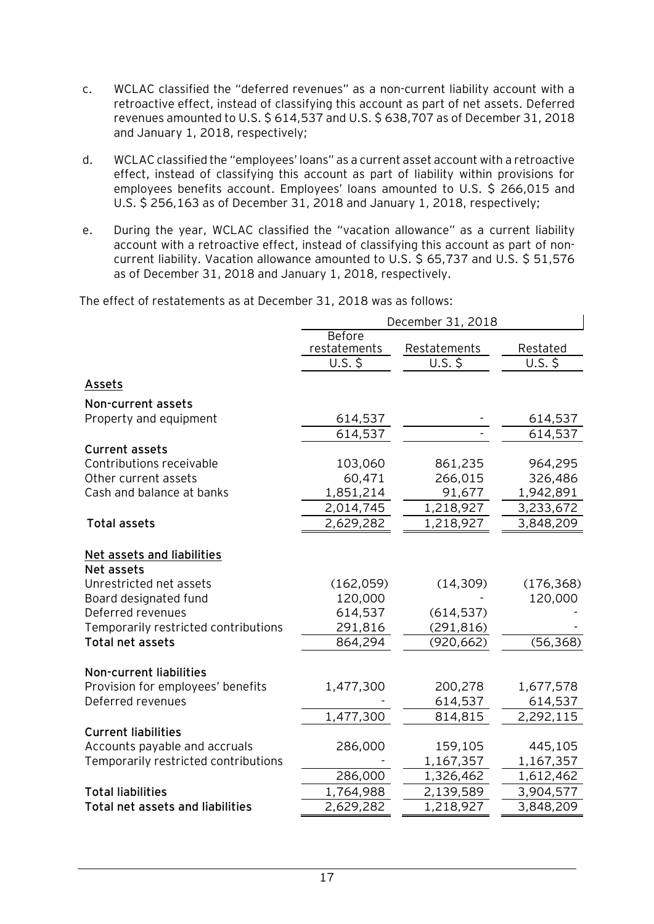- c. WCLAC classified the "deferred revenues" as a non-current liability account with a retroactive effect, instead of classifying this account as part of net assets. Deferred revenues amounted to U.S. \$ 614,537 and U.S. \$ 638,707 as of December 31, 2018 and January 1, 2018, respectively;
- d. WCLAC classified the "employees' loans" as a current asset account with a retroactive effect, instead of classifying this account as part of liability within provisions for employees benefits account. Employees' loans amounted to U.S. \$ 266,015 and U.S. \$ 256,163 as of December 31, 2018 and January 1, 2018, respectively;
- e. During the year, WCLAC classified the "vacation allowance" as a current liability account with a retroactive effect, instead of classifying this account as part of noncurrent liability. Vacation allowance amounted to U.S. \$ 65,737 and U.S. \$ 51,576 as of December 31, 2018 and January 1, 2018, respectively.

The effect of restatements as at December 31, 2018 was as follows:

|                                          | December 31, 2018             |              |            |  |
|------------------------------------------|-------------------------------|--------------|------------|--|
|                                          | <b>Before</b><br>restatements | Restatements | Restated   |  |
|                                          | $U.S.$ \$                     | $U.S.$ \$    | $U.S.$ \$  |  |
| Assets                                   |                               |              |            |  |
| Non-current assets                       |                               |              |            |  |
| Property and equipment                   | 614,537                       |              | 614,537    |  |
|                                          | 614,537                       |              | 614,537    |  |
| <b>Current assets</b>                    |                               |              |            |  |
| Contributions receivable                 | 103,060                       | 861,235      | 964,295    |  |
| Other current assets                     | 60,471                        | 266,015      | 326,486    |  |
| Cash and balance at banks                | 1,851,214                     | 91,677       | 1,942,891  |  |
|                                          | 2,014,745                     | 1,218,927    | 3,233,672  |  |
| <b>Total assets</b>                      | 2,629,282                     | 1,218,927    | 3,848,209  |  |
| Net assets and liabilities<br>Net assets |                               |              |            |  |
| Unrestricted net assets                  | (162, 059)                    | (14, 309)    | (176, 368) |  |
| Board designated fund                    | 120,000                       |              | 120,000    |  |
| Deferred revenues                        | 614,537                       | (614, 537)   |            |  |
| Temporarily restricted contributions     | 291,816                       | (291, 816)   |            |  |
| <b>Total net assets</b>                  | 864,294                       | (920, 662)   | (56, 368)  |  |
| Non-current liabilities                  |                               |              |            |  |
| Provision for employees' benefits        | 1,477,300                     | 200,278      | 1,677,578  |  |
| Deferred revenues                        |                               | 614,537      | 614,537    |  |
|                                          | 1,477,300                     | 814,815      | 2,292,115  |  |
| <b>Current liabilities</b>               |                               |              |            |  |
| Accounts payable and accruals            | 286,000                       | 159,105      | 445,105    |  |
| Temporarily restricted contributions     |                               | 1,167,357    | 1,167,357  |  |
|                                          | 286,000                       | 1,326,462    | 1,612,462  |  |
| <b>Total liabilities</b>                 | 1,764,988                     | 2,139,589    | 3,904,577  |  |
| Total net assets and liabilities         | 2,629,282                     | 1,218,927    | 3,848,209  |  |